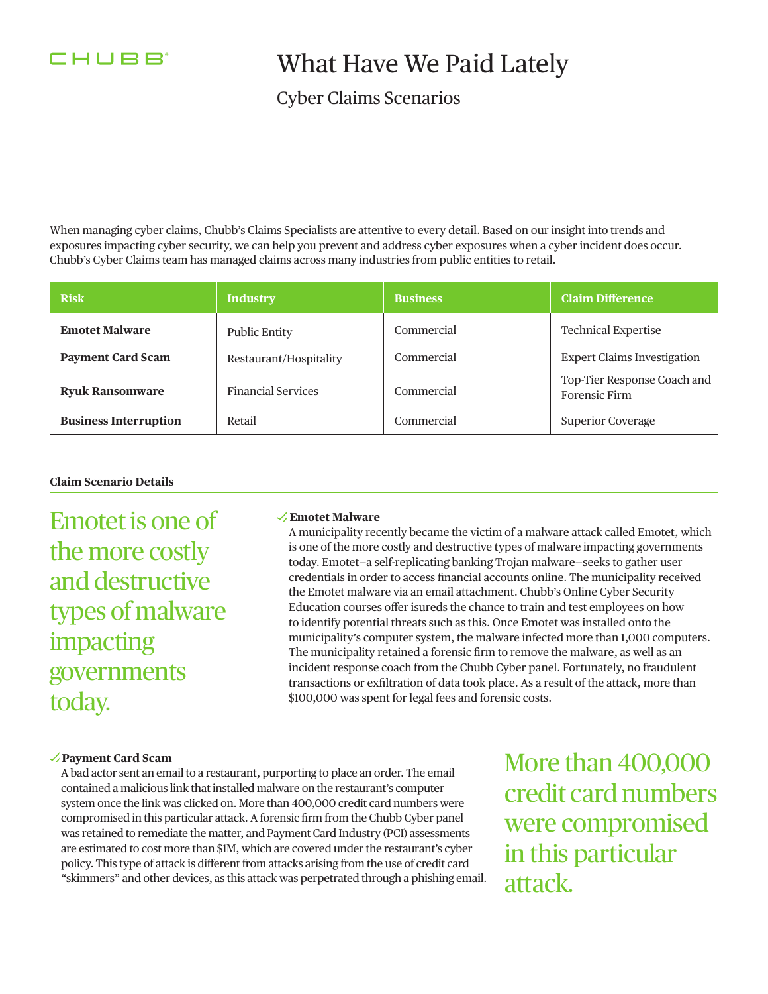

## What Have We Paid Lately

### Cyber Claims Scenarios

When managing cyber claims, Chubb's Claims Specialists are attentive to every detail. Based on our insight into trends and exposures impacting cyber security, we can help you prevent and address cyber exposures when a cyber incident does occur. Chubb's Cyber Claims team has managed claims across many industries from public entities to retail.

| <b>Risk</b>                  | <b>Industry</b>           | <b>Business</b> | <b>Claim Difference</b>                             |
|------------------------------|---------------------------|-----------------|-----------------------------------------------------|
| <b>Emotet Malware</b>        | <b>Public Entity</b>      | Commercial      | <b>Technical Expertise</b>                          |
| <b>Payment Card Scam</b>     | Restaurant/Hospitality    | Commercial      | <b>Expert Claims Investigation</b>                  |
| <b>Ryuk Ransomware</b>       | <b>Financial Services</b> | Commercial      | Top-Tier Response Coach and<br><b>Forensic Firm</b> |
| <b>Business Interruption</b> | Retail                    | Commercial      | <b>Superior Coverage</b>                            |

#### **Claim Scenario Details**

Emotet is one of the more costly and destructive types of malware impacting governments today.

#### **Emotet Malware**

A municipality recently became the victim of a malware attack called Emotet, which is one of the more costly and destructive types of malware impacting governments today. Emotet—a self-replicating banking Trojan malware—seeks to gather user credentials in order to access fnancial accounts online. The municipality received the Emotet malware via an email attachment. Chubb's Online Cyber Security Education courses offer isureds the chance to train and test employees on how to identify potential threats such as this. Once Emotet was installed onto the municipality's computer system, the malware infected more than 1,000 computers. The municipality retained a forensic frm to remove the malware, as well as an incident response coach from the Chubb Cyber panel. Fortunately, no fraudulent transactions or exfltration of data took place. As a result of the attack, more than \$100,000 was spent for legal fees and forensic costs.

#### **Payment Card Scam**

A bad actor sent an email to a restaurant, purporting to place an order. The email contained a malicious link that installed malware on the restaurant's computer system once the link was clicked on. More than 400,000 credit card numbers were compromised in this particular attack. A forensic frm from the Chubb Cyber panel was retained to remediate the matter, and Payment Card Industry (PCI) assessments are estimated to cost more than \$1M, which are covered under the restaurant's cyber policy. This type of attack is diferent from attacks arising from the use of credit card "skimmers" and other devices, as this attack was perpetrated through a phishing email. More than 400,000 credit card numbers were compromised in this particular attack.